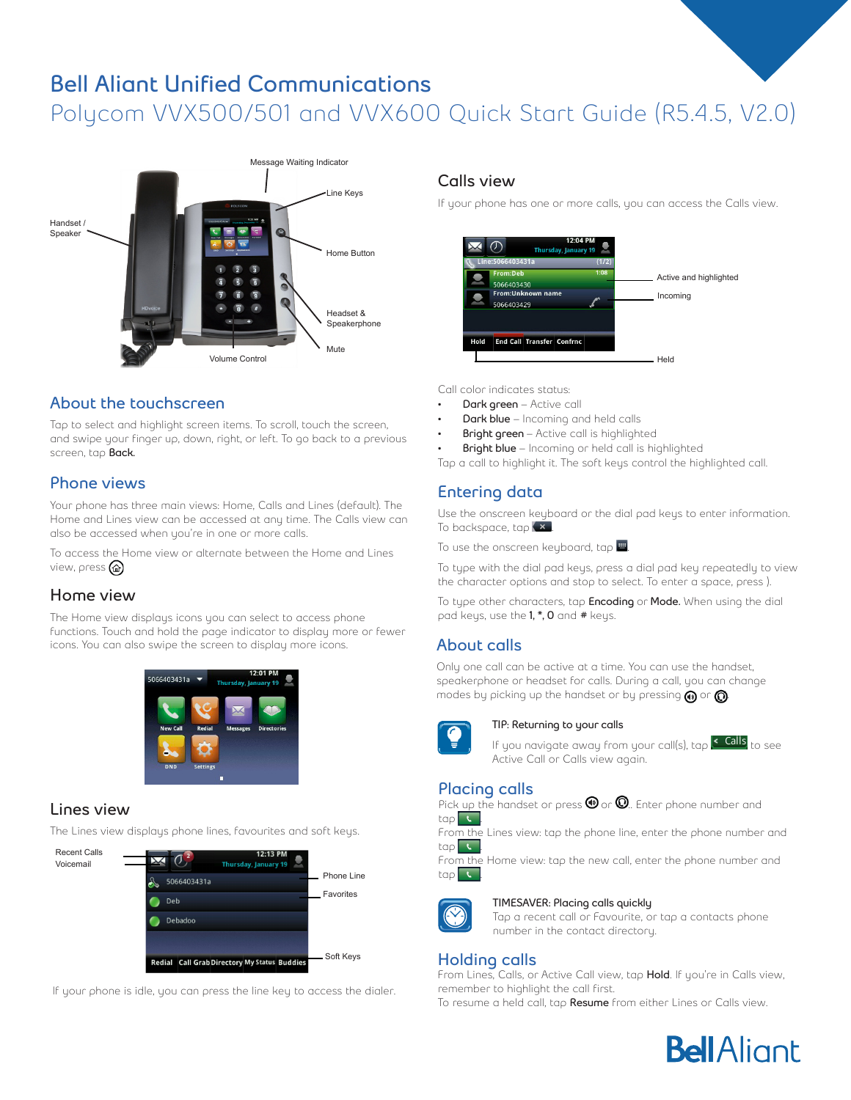# **Bell Aliant Unified Communications** Polycom VVX500/501 and VVX600 Quick Start Guide (R5.4.5, V2.0)



## **About the touchscreen**

Tap to select and highlight screen items. To scroll, touch the screen, and swipe your finger up, down, right, or left. To go back to a previous screen, tap **Back.**

# **Phone views**

Your phone has three main views: Home, Calls and Lines (default). The Home and Lines view can be accessed at any time. The Calls view can also be accessed when you're in one or more calls.

To access the Home view or alternate between the Home and Lines view, press<sup>(a)</sup>

## **Home view**

The Home view displays icons you can select to access phone functions. Touch and hold the page indicator to display more or fewer icons. You can also swipe the screen to display more icons.



## **Lines view**

The Lines view displays phone lines, favourites and soft keys.



If your phone is idle, you can press the line key to access the dialer.

#### **Calls view**

If your phone has one or more calls, you can access the Calls view.



Call color indicates status:

- **• Dark green** Active call
- **• Dark blue** Incoming and held calls
- **• Bright green**  Active call is highlighted
- **• Bright blue** Incoming or held call is highlighted
- Tap a call to highlight it. The soft keys control the highlighted call.

# **Entering data**

Use the onscreen keyboard or the dial pad keys to enter information. To backspace, tap  $(x)$ .

To use the onscreen keyboard, tap  $\blacksquare$ .

To type with the dial pad keys, press a dial pad key repeatedly to view the character options and stop to select. To enter a space, press ).

To type other characters, tap **Encoding** or **Mode.** When using the dial pad keys, use the **1, \*, 0** and **#** keys.

## **About calls**

Only one call can be active at a time. You can use the handset, speakerphone or headset for calls. During a call, you can change modes by picking up the handset or by pressing  $\bigcirc$  or  $\bigcirc$ .



#### **TIP: Returning to your calls**

If you navigate away from your call(s), tap <mark>< Calls</mark> to see Active Call or Calls view again.



#### **Placing calls**



From the Lines view: tap the phone line, enter the phone number and tap .

From the Home view: tap the new call, enter the phone number and  $\mathsf{top}$  .



#### **TIMESAVER: Placing calls quickly**

Tap a recent call or Favourite, or tap a contacts phone number in the contact directory.

#### **Holding calls**

From Lines, Calls, or Active Call view, tap **Hold**. If you're in Calls view, remember to highlight the call first.

To resume a held call, tap **Resume** from either Lines or Calls view.